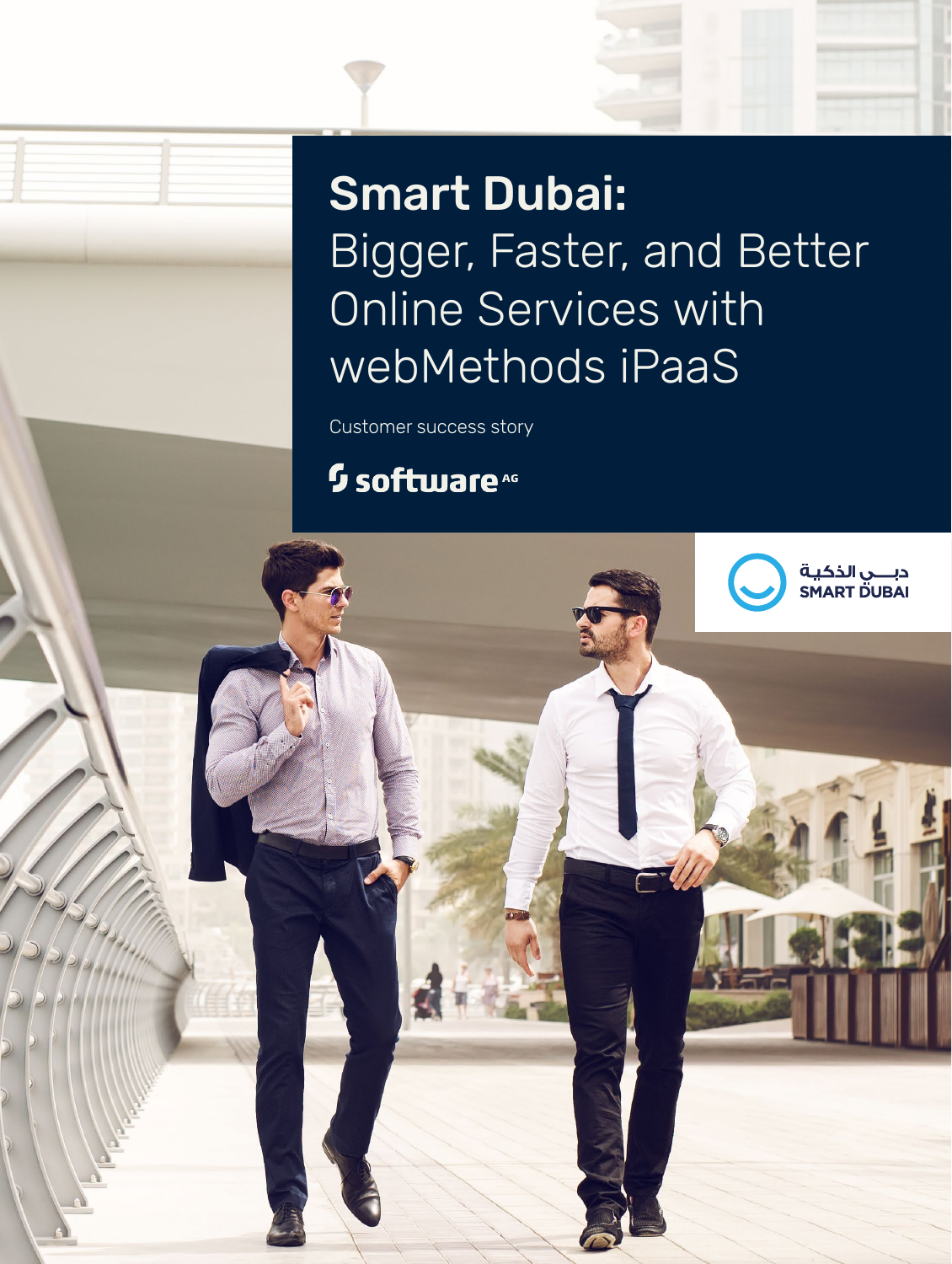# Smart Dubai: Bigger, Faster, and Better Online Services with webMethods iPaaS

دبــــي الذكيـة<br>SMART DUBAI

Customer success story

## <sup>5</sup> software<sup>46</sup>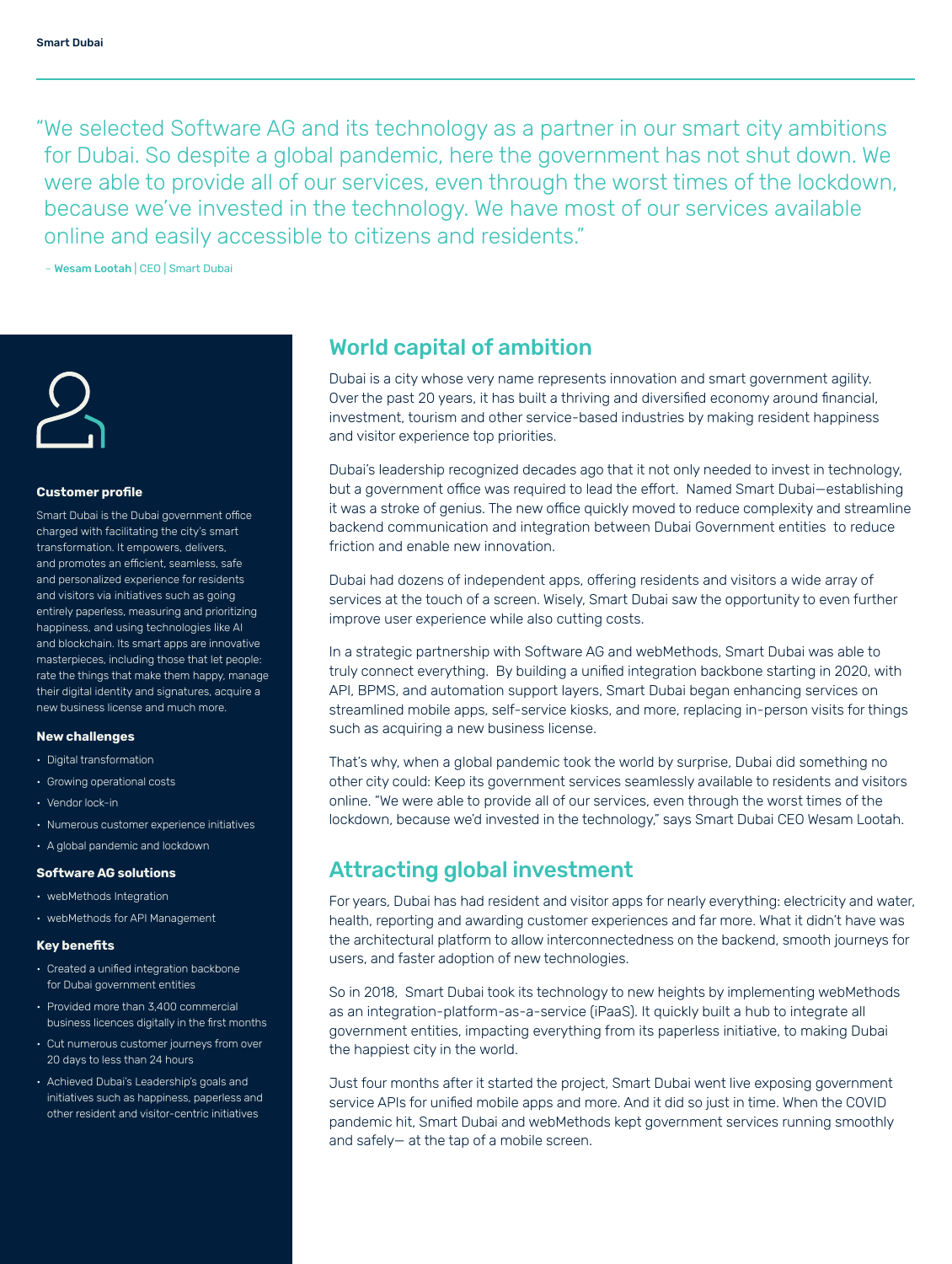"We selected Software AG and its technology as a partner in our smart city ambitions for Dubai. So despite a global pandemic, here the government has not shut down. We were able to provide all of our services, even through the worst times of the lockdown, because we've invested in the technology. We have most of our services available online and easily accessible to citizens and residents."

– Wesam Lootah | CEO | Smart Dubai



#### **Customer profile**

Smart Dubai is the Dubai government office charged with facilitating the city's smart transformation. It empowers, delivers, and promotes an efficient, seamless, safe and personalized experience for residents and visitors via initiatives such as going entirely paperless, measuring and prioritizing happiness, and using technologies like AI and blockchain. Its smart apps are innovative masterpieces, including those that let people: rate the things that make them happy, manage their digital identity and signatures, acquire a new business license and much more.

#### **New challenges**

- Digital transformation
- Growing operational costs
- Vendor lock-in
- Numerous customer experience initiatives
- A global pandemic and lockdown

#### **Software AG solutions**

- webMethods Integration
- webMethods for API Management

#### **Key benefits**

- Created a unified integration backbone for Dubai government entities
- Provided more than 3,400 commercial business licences digitally in the first months
- Cut numerous customer journeys from over 20 days to less than 24 hours
- Achieved Dubai's Leadership's goals and initiatives such as happiness, paperless and other resident and visitor-centric initiatives

### World capital of ambition

Dubai is a city whose very name represents innovation and smart government agility. Over the past 20 years, it has built a thriving and diversified economy around financial, investment, tourism and other service-based industries by making resident happiness and visitor experience top priorities.

Dubai's leadership recognized decades ago that it not only needed to invest in technology, but a government office was required to lead the effort. Named Smart Dubai—establishing it was a stroke of genius. The new office quickly moved to reduce complexity and streamline backend communication and integration between Dubai Government entities to reduce friction and enable new innovation.

Dubai had dozens of independent apps, offering residents and visitors a wide array of services at the touch of a screen. Wisely, Smart Dubai saw the opportunity to even further improve user experience while also cutting costs.

In a strategic partnership with Software AG and webMethods, Smart Dubai was able to truly connect everything. By building a unified integration backbone starting in 2020, with API, BPMS, and automation support layers, Smart Dubai began enhancing services on streamlined mobile apps, self-service kiosks, and more, replacing in-person visits for things such as acquiring a new business license.

That's why, when a global pandemic took the world by surprise, Dubai did something no other city could: Keep its government services seamlessly available to residents and visitors online. "We were able to provide all of our services, even through the worst times of the lockdown, because we'd invested in the technology," says Smart Dubai CEO Wesam Lootah.

## Attracting global investment

For years, Dubai has had resident and visitor apps for nearly everything: electricity and water, health, reporting and awarding customer experiences and far more. What it didn't have was the architectural platform to allow interconnectedness on the backend, smooth journeys for users, and faster adoption of new technologies.

So in 2018, Smart Dubai took its technology to new heights by implementing webMethods as an integration-platform-as-a-service (iPaaS). It quickly built a hub to integrate all government entities, impacting everything from its paperless initiative, to making Dubai the happiest city in the world.

Just four months after it started the project, Smart Dubai went live exposing government service APIs for unified mobile apps and more. And it did so just in time. When the COVID pandemic hit, Smart Dubai and webMethods kept government services running smoothly and safely— at the tap of a mobile screen.